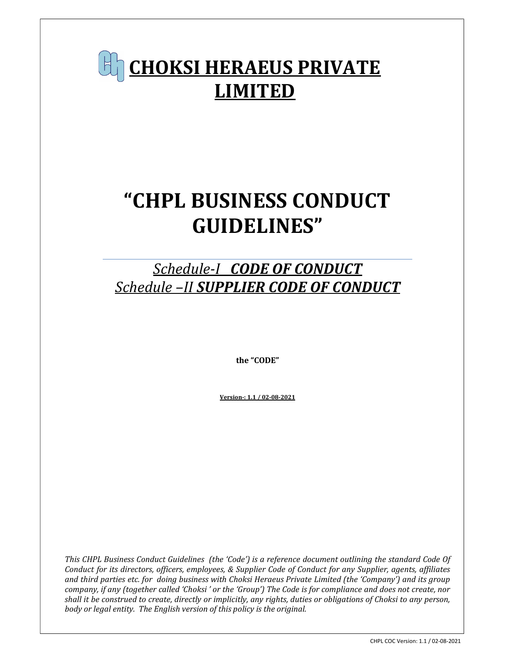# CHOKSI HERAEUS PRIVATE LIMITED

# "CHPL BUSINESS CONDUCT GUIDELINES"

# Schedule-I CODE OF CONDUCT Schedule –II SUPPLIER CODE OF CONDUCT

the "CODE"

Version-: 1.1 / 02-08-2021

This CHPL Business Conduct Guidelines (the 'Code') is a reference document outlining the standard Code Of Conduct for its directors, officers, employees, & Supplier Code of Conduct for any Supplier, agents, affiliates and third parties etc. for doing business with Choksi Heraeus Private Limited (the 'Company') and its group company, if any (together called 'Choksi ' or the 'Group') The Code is for compliance and does not create, nor shall it be construed to create, directly or implicitly, any rights, duties or obligations of Choksi to any person, body or legal entity. The English version of this policy is the original.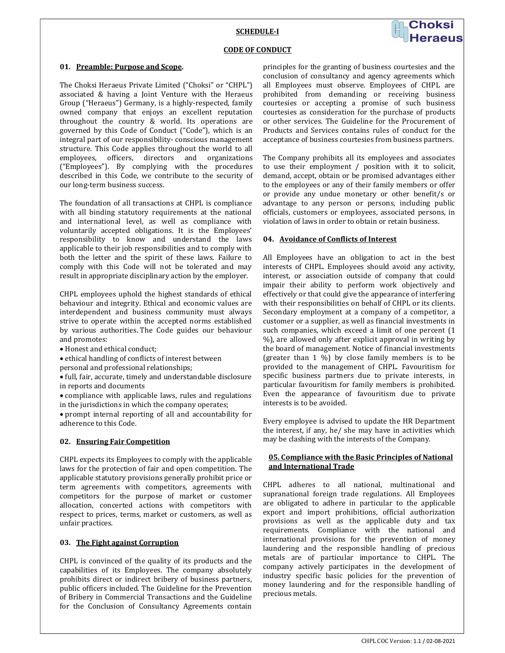# SCHEDULE-I



#### CODE OF CONDUCT

#### 01. Preamble: Purpose and Scope.

The Choksi Heraeus Private Limited ("Choksi" or "CHPL") associated & having a Joint Venture with the Heraeus Group ("Heraeus") Germany, is a highly-respected, family owned company that enjoys an excellent reputation throughout the country & world. Its operations are governed by this Code of Conduct ("Code"), which is an integral part of our responsibility- conscious management structure. This Code applies throughout the world to all employees, officers, directors and organizations ("Employees"). By complying with the procedures described in this Code, we contribute to the security of our long-term business success.

The foundation of all transactions at CHPL is compliance with all binding statutory requirements at the national and international level, as well as compliance with voluntarily accepted obligations. It is the Employees' responsibility to know and understand the laws applicable to their job responsibilities and to comply with both the letter and the spirit of these laws. Failure to comply with this Code will not be tolerated and may result in appropriate disciplinary action by the employer.

CHPL employees uphold the highest standards of ethical behaviour and integrity. Ethical and economic values are interdependent and business community must always strive to operate within the accepted norms established by various authorities. The Code guides our behaviour and promotes:

- Honest and ethical conduct:
- ethical handling of conflicts of interest between
- personal and professional relationships;

 full, fair, accurate, timely and understandable disclosure in reports and documents

 compliance with applicable laws, rules and regulations in the jurisdictions in which the company operates;

 prompt internal reporting of all and accountability for adherence to this Code.

#### 02. Ensuring Fair Competition

CHPL expects its Employees to comply with the applicable laws for the protection of fair and open competition. The applicable statutory provisions generally prohibit price or term agreements with competitors, agreements with competitors for the purpose of market or customer allocation, concerted actions with competitors with respect to prices, terms, market or customers, as well as unfair practices.

#### 03. The Fight against Corruption

CHPL is convinced of the quality of its products and the capabilities of its Employees. The company absolutely prohibits direct or indirect bribery of business partners, public officers included. The Guideline for the Prevention of Bribery in Commercial Transactions and the Guideline for the Conclusion of Consultancy Agreements contain principles for the granting of business courtesies and the conclusion of consultancy and agency agreements which all Employees must observe. Employees of CHPL are prohibited from demanding or receiving business courtesies or accepting a promise of such business courtesies as consideration for the purchase of products or other services. The Guideline for the Procurement of Products and Services contains rules of conduct for the acceptance of business courtesies from business partners.

The Company prohibits all its employees and associates to use their employment / position with it to solicit, demand, accept, obtain or be promised advantages either to the employees or any of their family members or offer or provide any undue monetary or other benefit/s or advantage to any person or persons, including public officials, customers or employees, associated persons, in violation of laws in order to obtain or retain business.

#### 04. Avoidance of Conflicts of Interest

All Employees have an obligation to act in the best interests of CHPL. Employees should avoid any activity, interest, or association outside of company that could impair their ability to perform work objectively and effectively or that could give the appearance of interfering with their responsibilities on behalf of CHPL or its clients. Secondary employment at a company of a competitor, a customer or a supplier, as well as financial investments in such companies, which exceed a limit of one percent (1 %), are allowed only after explicit approval in writing by the board of management. Notice of financial investments (greater than 1 %) by close family members is to be provided to the management of CHPL. Favouritism for specific business partners due to private interests, in particular favouritism for family members is prohibited. Even the appearance of favouritism due to private interests is to be avoided.

Every employee is advised to update the HR Department the interest, if any, he/ she may have in activities which may be clashing with the interests of the Company.

# 05. Compliance with the Basic Principles of National and International Trade

CHPL adheres to all national, multinational and supranational foreign trade regulations. All Employees are obligated to adhere in particular to the applicable export and import prohibitions, official authorization provisions as well as the applicable duty and tax requirements. Compliance with the national and international provisions for the prevention of money laundering and the responsible handling of precious metals are of particular importance to CHPL. The company actively participates in the development of industry specific basic policies for the prevention of money laundering and for the responsible handling of precious metals.

 $\overline{a}$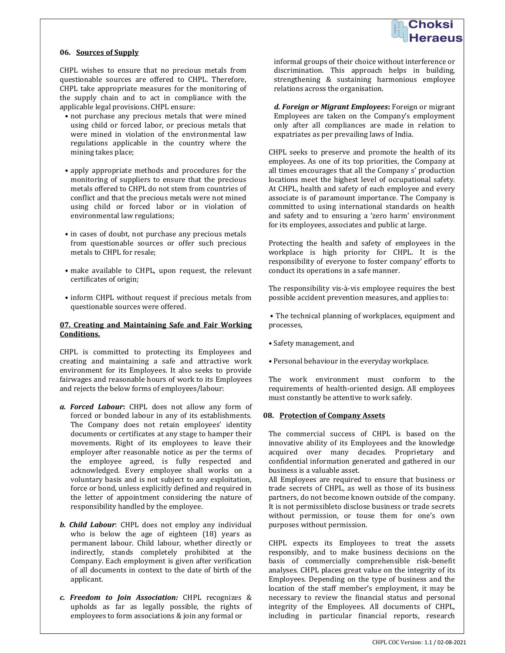### 06. Sources of Supply

CHPL wishes to ensure that no precious metals from questionable sources are offered to CHPL. Therefore, CHPL take appropriate measures for the monitoring of the supply chain and to act in compliance with the applicable legal provisions. CHPL ensure:

- not purchase any precious metals that were mined using child or forced labor, or precious metals that were mined in violation of the environmental law regulations applicable in the country where the mining takes place;
- apply appropriate methods and procedures for the monitoring of suppliers to ensure that the precious metals offered to CHPL do not stem from countries of conflict and that the precious metals were not mined using child or forced labor or in violation of environmental law regulations;
- in cases of doubt, not purchase any precious metals from questionable sources or offer such precious metals to CHPL for resale;
- make available to CHPL, upon request, the relevant certificates of origin;
- inform CHPL without request if precious metals from questionable sources were offered.

# 07. Creating and Maintaining Safe and Fair Working Conditions.

CHPL is committed to protecting its Employees and creating and maintaining a safe and attractive work environment for its Employees. It also seeks to provide fairwages and reasonable hours of work to its Employees and rejects the below forms of employees/labour:

- a. Forced Labour: CHPL does not allow any form of forced or bonded labour in any of its establishments. The Company does not retain employees' identity documents or certificates at any stage to hamper their movements. Right of its employees to leave their employer after reasonable notice as per the terms of the employee agreed, is fully respected and acknowledged. Every employee shall works on a voluntary basis and is not subject to any exploitation, force or bond, unless explicitly defined and required in the letter of appointment considering the nature of responsibility handled by the employee.
- b. Child Labour: CHPL does not employ any individual who is below the age of eighteen (18) years as permanent labour. Child labour, whether directly or indirectly, stands completely prohibited at the Company. Each employment is given after verification of all documents in context to the date of birth of the applicant.
- c. Freedom to Join Association: CHPL recognizes & upholds as far as legally possible, the rights of employees to form associations & join any formal or

informal groups of their choice without interference or discrimination. This approach helps in building, strengthening & sustaining harmonious employee relations across the organisation.

d. Foreign or Migrant Employees: Foreign or migrant Employees are taken on the Company's employment only after all compliances are made in relation to expatriates as per prevailing laws of India.

CHPL seeks to preserve and promote the health of its employees. As one of its top priorities, the Company at all times encourages that all the Company s' production locations meet the highest level of occupational safety. At CHPL, health and safety of each employee and every associate is of paramount importance. The Company is committed to using international standards on health and safety and to ensuring a 'zero harm' environment for its employees, associates and public at large.

Protecting the health and safety of employees in the workplace is high priority for CHPL. It is the responsibility of everyone to foster company' efforts to conduct its operations in a safe manner.

The responsibility vis-à-vis employee requires the best possible accident prevention measures, and applies to:

 • The technical planning of workplaces, equipment and processes,

- Safety management, and
- Personal behaviour in the everyday workplace.

The work environment must conform to the requirements of health-oriented design. All employees must constantly be attentive to work safely.

#### 08. Protection of Company Assets

ł

The commercial success of CHPL is based on the innovative ability of its Employees and the knowledge acquired over many decades. Proprietary and confidential information generated and gathered in our business is a valuable asset.

All Employees are required to ensure that business or trade secrets of CHPL, as well as those of its business partners, do not become known outside of the company. It is not permissibleto disclose business or trade secrets without permission, or touse them for one's own purposes without permission.

CHPL expects its Employees to treat the assets responsibly, and to make business decisions on the basis of commercially comprehensible risk-benefit analyses. CHPL places great value on the integrity of its Employees. Depending on the type of business and the location of the staff member's employment, it may be necessary to review the financial status and personal integrity of the Employees. All documents of CHPL, including in particular financial reports, research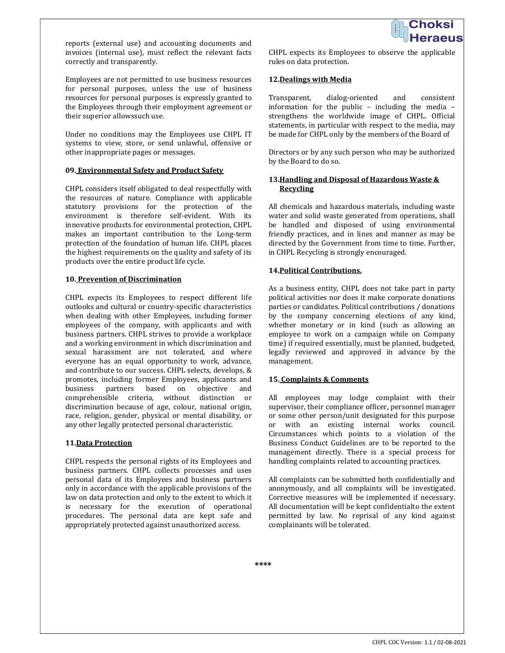

reports (external use) and accounting documents and invoices (internal use), must reflect the relevant facts correctly and transparently.

Employees are not permitted to use business resources for personal purposes, unless the use of business resources for personal purposes is expressly granted to the Employees through their employment agreement or their superior allowssuch use.

Under no conditions may the Employees use CHPL IT systems to view, store, or send unlawful, offensive or other inappropriate pages or messages.

# 09. Environmental Safety and Product Safety

CHPL considers itself obligated to deal respectfully with the resources of nature. Compliance with applicable statutory provisions for the protection of the environment is therefore self-evident. With its innovative products for environmental protection, CHPL makes an important contribution to the Long-term protection of the foundation of human life. CHPL places the highest requirements on the quality and safety of its products over the entire product life cycle.

#### 10. Prevention of Discrimination

CHPL expects its Employees to respect different life outlooks and cultural or country-specific characteristics when dealing with other Employees, including former employees of the company, with applicants and with business partners. CHPL strives to provide a workplace and a working environment in which discrimination and sexual harassment are not tolerated, and where everyone has an equal opportunity to work, advance, and contribute to our success. CHPL selects, develops, & promotes, including former Employees, applicants and business partners based on objective and comprehensible criteria, without distinction or discrimination because of age, colour, national origin, race, religion, gender, physical or mental disability, or any other legally protected personal characteristic.

# 11.Data Protection

CHPL respects the personal rights of its Employees and business partners. CHPL collects processes and uses personal data of its Employees and business partners only in accordance with the applicable provisions of the law on data protection and only to the extent to which it is necessary for the execution of operational procedures. The personal data are kept safe and appropriately protected against unauthorized access.

CHPL expects its Employees to observe the applicable rules on data protection.

### 12.Dealings with Media

Transparent, dialog-oriented and consistent information for the public – including the media – strengthens the worldwide image of CHPL. Official statements, in particular with respect to the media, may be made for CHPL only by the members of the Board of

Directors or by any such person who may be authorized by the Board to do so.

# 13. Handling and Disposal of Hazardous Waste & Recycling

All chemicals and hazardous materials, including waste water and solid waste generated from operations, shall be handled and disposed of using environmental friendly practices, and in lines and manner as may be directed by the Government from time to time. Further, in CHPL Recycling is strongly encouraged.

# 14.Political Contributions.

As a business entity, CHPL does not take part in party political activities nor does it make corporate donations parties or candidates. Political contributions / donations by the company concerning elections of any kind, whether monetary or in kind (such as allowing an employee to work on a campaign while on Company time) if required essentially, must be planned, budgeted, legally reviewed and approved in advance by the management.

# 15. Complaints & Comments

All employees may lodge complaint with their supervisor, their compliance officer, personnel manager or some other person/unit designated for this purpose or with an existing internal works council. Circumstances which points to a violation of the Business Conduct Guidelines are to be reported to the management directly. There is a special process for handling complaints related to accounting practices.

All complaints can be submitted both confidentially and anonymously, and all complaints will be investigated. Corrective measures will be implemented if necessary. All documentation will be kept confidentialto the extent permitted by law. No reprisal of any kind against complainants will be tolerated.

\*\*\*\*

ł